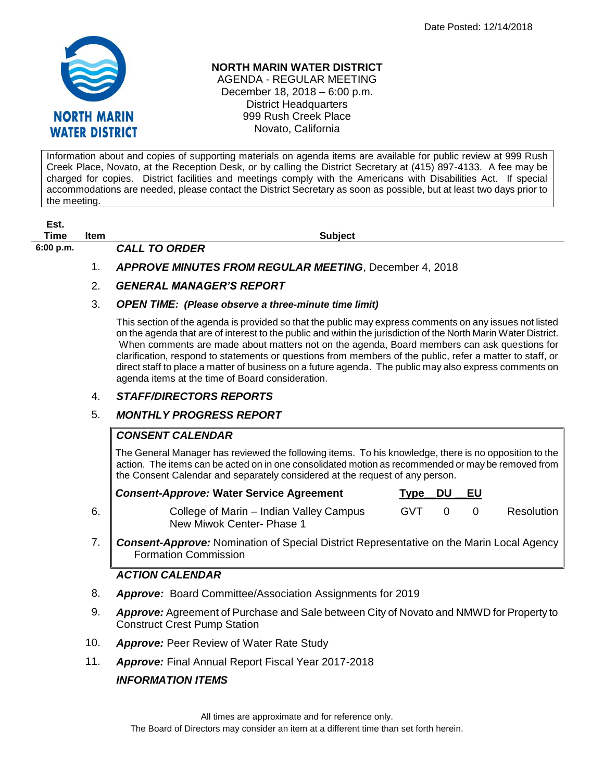

### **NORTH MARIN WATER DISTRICT**

AGENDA - REGULAR MEETING December 18, 2018 – 6:00 p.m. District Headquarters 999 Rush Creek Place Novato, California

Information about and copies of supporting materials on agenda items are available for public review at 999 Rush Creek Place, Novato, at the Reception Desk, or by calling the District Secretary at (415) 897-4133. A fee may be charged for copies. District facilities and meetings comply with the Americans with Disabilities Act. If special accommodations are needed, please contact the District Secretary as soon as possible, but at least two days prior to the meeting.

**Est. Time Item Subject**

**6:00 p.m.** *CALL TO ORDER* 

# 1. *APPROVE MINUTES FROM REGULAR MEETING*, December 4, 2018

### 2. *GENERAL MANAGER'S REPORT*

#### 3. *OPEN TIME: (Please observe a three-minute time limit)*

This section of the agenda is provided so that the public may express comments on any issues not listed on the agenda that are of interest to the public and within the jurisdiction of the North Marin Water District. When comments are made about matters not on the agenda, Board members can ask questions for clarification, respond to statements or questions from members of the public, refer a matter to staff, or direct staff to place a matter of business on a future agenda. The public may also express comments on agenda items at the time of Board consideration.

### 4. *STAFF/DIRECTORS REPORTS*

# 5. *MONTHLY PROGRESS REPORT*

# *CONSENT CALENDAR*

The General Manager has reviewed the following items. To his knowledge, there is no opposition to the action. The items can be acted on in one consolidated motion as recommended or may be removed from the Consent Calendar and separately considered at the request of any person.

|    | <b>Consent-Approve: Water Service Agreement</b>                      | Tvpe | DU | EU |            |
|----|----------------------------------------------------------------------|------|----|----|------------|
| 6. | College of Marin – Indian Valley Campus<br>New Miwok Center- Phase 1 | GVT  |    |    | Resolution |

7. *Consent-Approve:* Nomination of Special District Representative on the Marin Local Agency Formation Commission

### *ACTION CALENDAR*

- 8. *Approve:* Board Committee/Association Assignments for 2019
- 9. *Approve:* Agreement of Purchase and Sale between City of Novato and NMWD for Property to Construct Crest Pump Station
- 10. *Approve:* Peer Review of Water Rate Study
- 11. *Approve:* Final Annual Report Fiscal Year 2017-2018

# *INFORMATION ITEMS*

All times are approximate and for reference only.